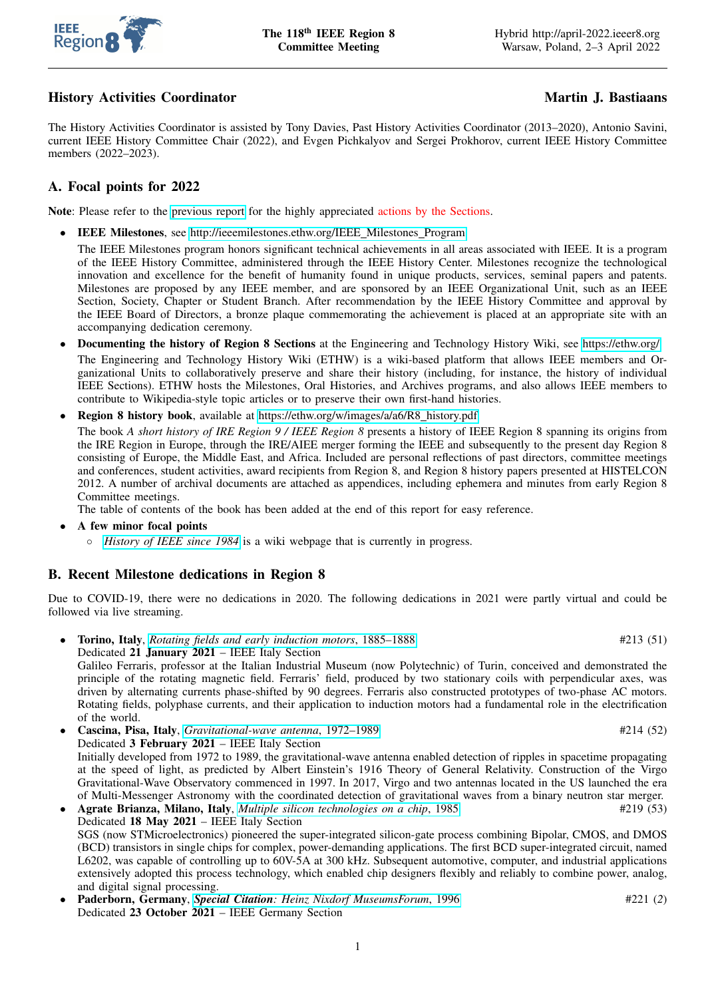

# History Activities Coordinator Martin J. Bastiaans

The History Activities Coordinator is assisted by Tony Davies, Past History Activities Coordinator (2013–2020), Antonio Savini, current IEEE History Committee Chair (2022), and Evgen Pichkalyov and Sergei Prokhorov, current IEEE History Committee members (2022–2023).

# A. Focal points for 2022

Note: Please refer to the [previous report](https://ieeer8.org/wp-content/uploads/2021/03/R8_History_Activities_Report_116.pdf) for the highly appreciated actions by the Sections.

• IEEE Milestones, see [http://ieeemilestones.ethw.org/IEEE](http://ieeemilestones.ethw.org/IEEE_Milestones_Program) Milestones Program

The IEEE Milestones program honors significant technical achievements in all areas associated with IEEE. It is a program of the IEEE History Committee, administered through the IEEE History Center. Milestones recognize the technological innovation and excellence for the benefit of humanity found in unique products, services, seminal papers and patents. Milestones are proposed by any IEEE member, and are sponsored by an IEEE Organizational Unit, such as an IEEE Section, Society, Chapter or Student Branch. After recommendation by the IEEE History Committee and approval by the IEEE Board of Directors, a bronze plaque commemorating the achievement is placed at an appropriate site with an accompanying dedication ceremony.

- Documenting the history of Region 8 Sections at the Engineering and Technology History Wiki, see<https://ethw.org/> The Engineering and Technology History Wiki (ETHW) is a wiki-based platform that allows IEEE members and Organizational Units to collaboratively preserve and share their history (including, for instance, the history of individual IEEE Sections). ETHW hosts the Milestones, Oral Histories, and Archives programs, and also allows IEEE members to contribute to Wikipedia-style topic articles or to preserve their own first-hand histories.
- Region 8 history book, available at [https://ethw.org/w/images/a/a6/R8](https://ethw.org/w/images/a/a6/R8_history.pdf)\_history.pdf

The book *A short history of IRE Region 9 / IEEE Region 8* presents a history of IEEE Region 8 spanning its origins from the IRE Region in Europe, through the IRE/AIEE merger forming the IEEE and subsequently to the present day Region 8 consisting of Europe, the Middle East, and Africa. Included are personal reflections of past directors, committee meetings and conferences, student activities, award recipients from Region 8, and Region 8 history papers presented at HISTELCON 2012. A number of archival documents are attached as appendices, including ephemera and minutes from early Region 8 Committee meetings.

The table of contents of the book has been added at the end of this report for easy reference.

- A few minor focal points
	- *[History of IEEE since 1984](https://ethw.org/History_of_IEEE_Since_1984)* is a wiki webpage that is currently in progress.

#### B. Recent Milestone dedications in Region 8

Due to COVID-19, there were no dedications in 2020. The following dedications in 2021 were partly virtual and could be followed via live streaming.

• Torino, Italy, *[Rotating fields and early induction motors](https://ethw.org/Milestones:Rotating_Fields_and_Early_Induction_Motors)*, 1885–1888 #213 (51) Dedicated 21 January 2021 – IEEE Italy Section Galileo Ferraris, professor at the Italian Industrial Museum (now Polytechnic) of Turin, conceived and demonstrated the

principle of the rotating magnetic field. Ferraris' field, produced by two stationary coils with perpendicular axes, was driven by alternating currents phase-shifted by 90 degrees. Ferraris also constructed prototypes of two-phase AC motors. Rotating fields, polyphase currents, and their application to induction motors had a fundamental role in the electrification of the world.

- Cascina, Pisa, Italy, *[Gravitational-wave antenna](https://ethw.org/Milestones:Gravitational-Wave_Antenna)*, 1972–1989 #214 (52) Dedicated 3 February 2021 – IEEE Italy Section Initially developed from 1972 to 1989, the gravitational-wave antenna enabled detection of ripples in spacetime propagating at the speed of light, as predicted by Albert Einstein's 1916 Theory of General Relativity. Construction of the Virgo Gravitational-Wave Observatory commenced in 1997. In 2017, Virgo and two antennas located in the US launched the era of Multi-Messenger Astronomy with the coordinated detection of gravitational waves from a binary neutron star merger.
- **Agrate Brianza, Milano, Italy**, *[Multiple silicon technologies on a chip](https://ethw.org/Milestones:Multiple_Technologies_on_a_Chip,_1985)*, 1985 #219 (53) #219 (53) Dedicated 18 May 2021 – IEEE Italy Section SGS (now STMicroelectronics) pioneered the super-integrated silicon-gate process combining Bipolar, CMOS, and DMOS (BCD) transistors in single chips for complex, power-demanding applications. The first BCD super-integrated circuit, named L6202, was capable of controlling up to 60V-5A at 300 kHz. Subsequent automotive, computer, and industrial applications extensively adopted this process technology, which enabled chip designers flexibly and reliably to combine power, analog, and digital signal processing.
- Paderborn, Germany, *Special Citation[: Heinz Nixdorf MuseumsForum](http://ethw.org/Milestones:Special_Citation_Heinz_Nixdorf_Museum,_1996)*, 1996 #221 (*2*) Dedicated 23 October 2021 – IEEE Germany Section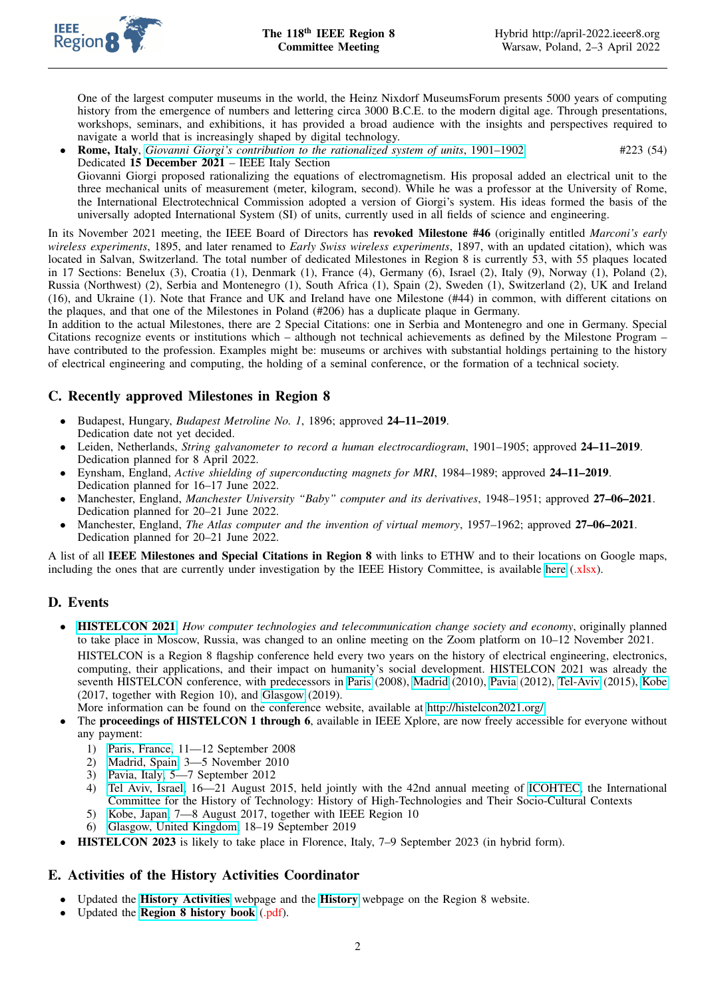

One of the largest computer museums in the world, the Heinz Nixdorf MuseumsForum presents 5000 years of computing history from the emergence of numbers and lettering circa 3000 B.C.E. to the modern digital age. Through presentations, workshops, seminars, and exhibitions, it has provided a broad audience with the insights and perspectives required to navigate a world that is increasingly shaped by digital technology.

• Rome, Italy, *[Giovanni Giorgi's contribution to the rationalized system of units](https://ethw.org/Milestones:Rationalization_of_Units,_1901-1902)*, 1901–1902 #223 (54) Dedicated 15 December 2021 – IEEE Italy Section Giovanni Giorgi proposed rationalizing the equations of electromagnetism. His proposal added an electrical unit to the three mechanical units of measurement (meter, kilogram, second). While he was a professor at the University of Rome, the International Electrotechnical Commission adopted a version of Giorgi's system. His ideas formed the basis of the universally adopted International System (SI) of units, currently used in all fields of science and engineering.

In its November 2021 meeting, the IEEE Board of Directors has revoked Milestone #46 (originally entitled *Marconi's early wireless experiments*, 1895, and later renamed to *Early Swiss wireless experiments*, 1897, with an updated citation), which was located in Salvan, Switzerland. The total number of dedicated Milestones in Region 8 is currently 53, with 55 plaques located in 17 Sections: Benelux (3), Croatia (1), Denmark (1), France (4), Germany (6), Israel (2), Italy (9), Norway (1), Poland (2), Russia (Northwest) (2), Serbia and Montenegro (1), South Africa (1), Spain (2), Sweden (1), Switzerland (2), UK and Ireland (16), and Ukraine (1). Note that France and UK and Ireland have one Milestone (#44) in common, with different citations on the plaques, and that one of the Milestones in Poland (#206) has a duplicate plaque in Germany.

In addition to the actual Milestones, there are 2 Special Citations: one in Serbia and Montenegro and one in Germany. Special Citations recognize events or institutions which – although not technical achievements as defined by the Milestone Program – have contributed to the profession. Examples might be: museums or archives with substantial holdings pertaining to the history of electrical engineering and computing, the holding of a seminal conference, or the formation of a technical society.

# C. Recently approved Milestones in Region 8

- Budapest, Hungary, *Budapest Metroline No. 1*, 1896; approved 24–11–2019. Dedication date not yet decided.
- Leiden, Netherlands, *String galvanometer to record a human electrocardiogram*, 1901–1905; approved 24–11–2019. Dedication planned for 8 April 2022.
- Eynsham, England, *Active shielding of superconducting magnets for MRI*, 1984–1989; approved 24–11–2019. Dedication planned for 16–17 June 2022.
- Manchester, England, *Manchester University "Baby" computer and its derivatives*, 1948–1951; approved 27–06–2021. Dedication planned for 20–21 June 2022.
- Manchester, England, *The Atlas computer and the invention of virtual memory*, 1957–1962; approved 27–06–2021. Dedication planned for 20–21 June 2022.

A list of all IEEE Milestones and Special Citations in Region 8 with links to ETHW and to their locations on Google maps, including the ones that are currently under investigation by the IEEE History Committee, is available [here](https://ieeer8.org/wp-content/uploads/2021/02/R8_Milestones.xlsx) (xlsx).

# D. Events

- [HISTELCON 2021](http://histelcon2021.org/), *How computer technologies and telecommunication change society and economy*, originally planned to take place in Moscow, Russia, was changed to an online meeting on the Zoom platform on 10–12 November 2021. HISTELCON is a Region 8 flagship conference held every two years on the history of electrical engineering, electronics, computing, their applications, and their impact on humanity's social development. HISTELCON 2021 was already the seventh HISTELCON conference, with predecessors in [Paris](https://web.archive.org/web/20081016004045/http:/www.isep.fr/histelcon/public/index.php) (2008), [Madrid](https://web.archive.org/web/20101105203132/http://www.aeit.es/histelcon2010) (2010), [Pavia](https://sites.google.com/a/unipv.it/histelcon2012) (2012), [Tel-Aviv](http://icohtec-histelcon.tau.ac.il/index.php/icohtec/2015) (2015), [Kobe](https://www.ieee-jp.org/section/kansai/histelcon2017) (2017, together with Region 10), and [Glasgow](https://www.histelcon2019.org) (2019).
- More information can be found on the conference website, available at [http://histelcon2021.org/.](http://histelcon2021.org/)
- The **proceedings of HISTELCON 1 through 6**, available in IEEE Xplore, are now freely accessible for everyone without any payment:
	- 1) [Paris, France,](https://doi.org/10.1109/HISTELCON14081.2008) 11—12 September 2008
	- 2) [Madrid, Spain,](https://doi.org/10.1109/HISTELCON17055.2010) 3—5 November 2010
	- 3) [Pavia, Italy,](https://doi.org/10.1109/HISTELCON21101.2012) 5—7 September 2012
	- 4) [Tel Aviv, Israel,](https://doi.org/10.1109/HISTELCON33721.2015) 16—21 August 2015, held jointly with the 42nd annual meeting of [ICOHTEC,](http://www.icohtec.org/) the International Committee for the History of Technology: History of High-Technologies and Their Socio-Cultural Contexts
	- 5) [Kobe, Japan,](https://doi.org/10.1109/HISTELCON40292.2017) 7—8 August 2017, together with IEEE Region 10
	- 6) [Glasgow, United Kingdom,](https://doi.org/10.1109/HISTELCON47851.2019) 18–19 September 2019
- HISTELCON 2023 is likely to take place in Florence, Italy, 7–9 September 2023 (in hybrid form).

#### E. Activities of the History Activities Coordinator

- Updated the [History Activities](https://ieeer8.org/category/member-activities/history-activities/) webpage and the [History](https://ieeer8.org/category/history/) webpage on the Region 8 website.
- Updated the [Region 8 history book](https://ethw.org/w/images/a/a6/R8_history.pdf) (.pdf).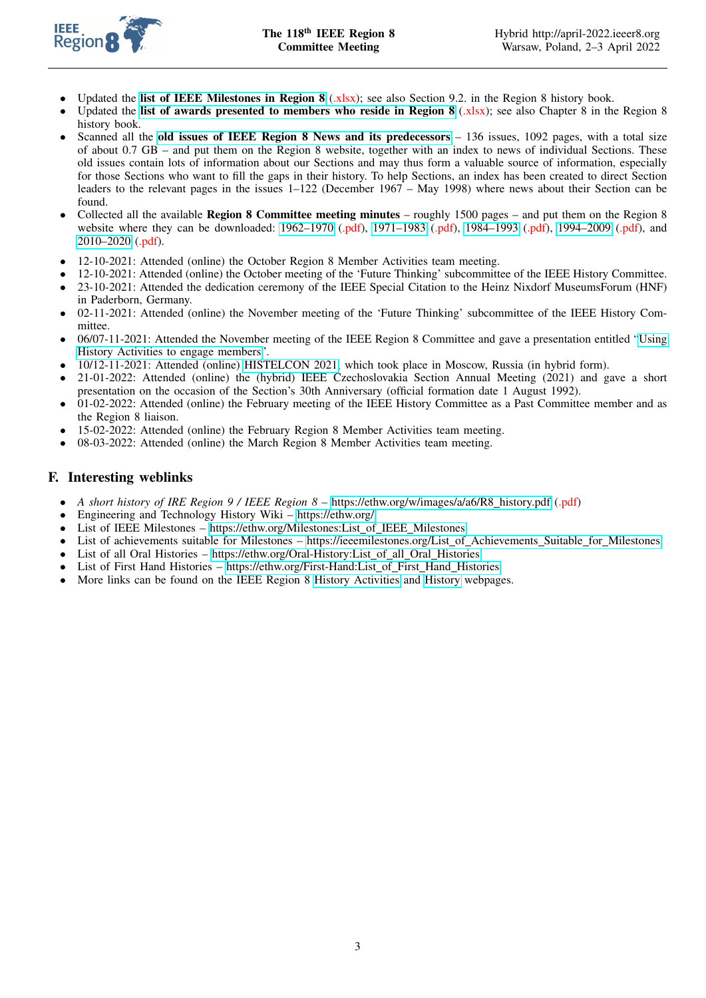

- Updated the [list of IEEE Milestones in Region 8](https://ieeer8.org/wp-content/uploads/2021/02/R8_Milestones.xlsx) (xlsx); see also Section 9.2. in the Region 8 history book.
- Updated the [list of awards presented to members who reside in Region 8](https://ieeer8.org/wp-content/uploads/2021/02/R8_Award_Recipients.xlsx) (xlsx); see also Chapter 8 in the Region 8 history book.
- Scanned all the [old issues of IEEE Region 8 News and its predecessors](https://ieeer8.org/member-activities/history-activities/news-archive/old-issues-of-ieee-region-8-news/)  $-136$  issues, 1092 pages, with a total size of about 0.7 GB – and put them on the Region 8 website, together with an index to news of individual Sections. These old issues contain lots of information about our Sections and may thus form a valuable source of information, especially for those Sections who want to fill the gaps in their history. To help Sections, an index has been created to direct Section leaders to the relevant pages in the issues 1–122 (December 1967 – May 1998) where news about their Section can be found.
- Collected all the available Region 8 Committee meeting minutes roughly 1500 pages and put them on the Region 8 website where they can be downloaded: [1962–1970](http://ieeer8.org/wp-content/uploads/2021/05/R8_Minutes_of_Committee_meetings_1962_1970.pdf) (.pdf), [1971–1983](http://ieeer8.org/wp-content/uploads/2021/05/R8_Minutes_of_Committee_meetings_1971_1983.pdf) (.pdf), [1984–1993](http://ieeer8.org/wp-content/uploads/2021/05/R8_Minutes_of_Committee_meetings_1984_1993.pdf) (.pdf), [1994–2009](http://ieeer8.org/wp-content/uploads/2021/05/R8_Minutes_of_Committee_meetings_1994_2009.pdf) (.pdf), and [2010–2020](http://ieeer8.org/wp-content/uploads/2021/07/R8_Minutes_of_Committee_meetings_2010_2020.pdf) (.pdf).
- 12-10-2021: Attended (online) the October Region 8 Member Activities team meeting.
- 12-10-2021: Attended (online) the October meeting of the 'Future Thinking' subcommittee of the IEEE History Committee.
- 23-10-2021: Attended the dedication ceremony of the IEEE Special Citation to the Heinz Nixdorf MuseumsForum (HNF) in Paderborn, Germany.
- 02-11-2021: Attended (online) the November meeting of the 'Future Thinking' subcommittee of the IEEE History Committee.
- 06/07-11-2021: Attended the November meeting of the IEEE Region 8 Committee and gave a presentation entitled ["Using](https://ieeer8.org/wp-content/uploads/2022/02/History_Activities_Frankfurt_presentation_2021.pdf) [History Activities to engage members"](https://ieeer8.org/wp-content/uploads/2022/02/History_Activities_Frankfurt_presentation_2021.pdf).
- 10/12-11-2021: Attended (online) [HISTELCON 2021,](http://histelcon2021.org/) which took place in Moscow, Russia (in hybrid form).
- 21-01-2022: Attended (online) the (hybrid) IEEE Czechoslovakia Section Annual Meeting (2021) and gave a short presentation on the occasion of the Section's 30th Anniversary (official formation date 1 August 1992).
- 01-02-2022: Attended (online) the February meeting of the IEEE History Committee as a Past Committee member and as the Region 8 liaison.
- 15-02-2022: Attended (online) the February Region 8 Member Activities team meeting.
- 08-03-2022: Attended (online) the March Region 8 Member Activities team meeting.

### F. Interesting weblinks

- *A short history of IRE Region 9 / IEEE Region 8* – [https://ethw.org/w/images/a/a6/R8](https://ethw.org/w/images/a/a6/R8_history.pdf) history.pdf (.pdf)
- Engineering and Technology History Wiki –<https://ethw.org/>
- List of IEEE Milestones – [https://ethw.org/Milestones:List](https://ethw.org/Milestones:List_of_IEEE_Milestones)\_of\_IEEE\_Milestones
- List of achievements suitable for Milestones – [https://ieeemilestones.org/List](http://ieeemilestones.org/List_of_Achievements_Suitable_for_Milestones) of Achievements Suitable for Milestones
- List of all Oral Histories – [https://ethw.org/Oral-History:List](https://ethw.org/Oral-History:List_of_all_Oral_Histories) of all Oral Histories
- List of First Hand Histories – [https://ethw.org/First-Hand:List](https://ethw.org/First-Hand:List_of_First_Hand_Histories) of First Hand Histories
- More links can be found on the IEEE Region 8 [History Activities](https://ieeer8.org/category/member-activities/history-activities/) and [History](https://ieeer8.org/category/history/) webpages.